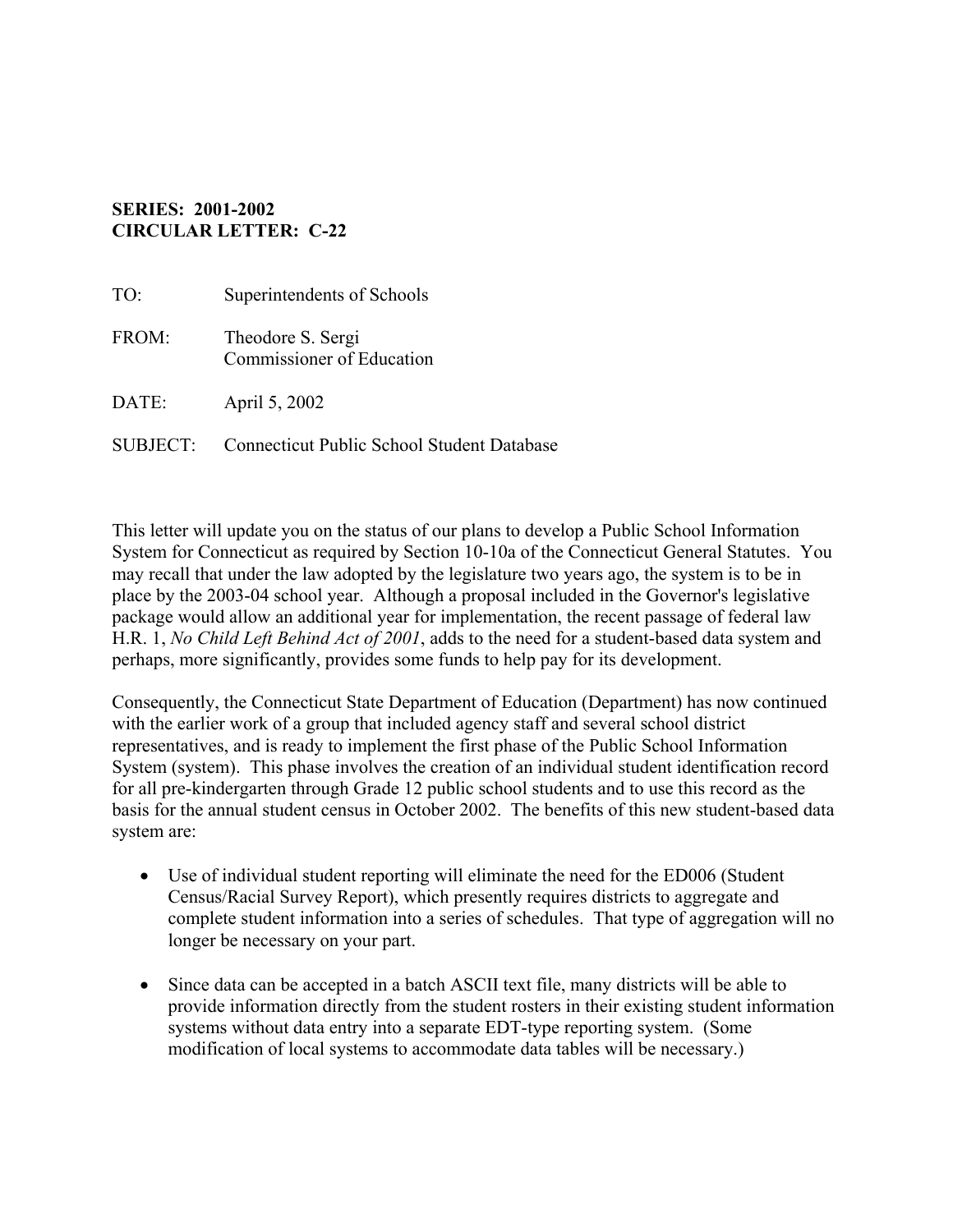## **SERIES: 2001-2002 CIRCULAR LETTER: C-22**

| TO:      | Superintendents of Schools                            |
|----------|-------------------------------------------------------|
| FROM:    | Theodore S. Sergi<br><b>Commissioner of Education</b> |
| DATE:    | April 5, 2002                                         |
| SUBJECT: | <b>Connecticut Public School Student Database</b>     |

This letter will update you on the status of our plans to develop a Public School Information System for Connecticut as required by Section 10-10a of the Connecticut General Statutes. You may recall that under the law adopted by the legislature two years ago, the system is to be in place by the 2003-04 school year. Although a proposal included in the Governor's legislative package would allow an additional year for implementation, the recent passage of federal law H.R. 1, *No Child Left Behind Act of 2001*, adds to the need for a student-based data system and perhaps, more significantly, provides some funds to help pay for its development.

Consequently, the Connecticut State Department of Education (Department) has now continued with the earlier work of a group that included agency staff and several school district representatives, and is ready to implement the first phase of the Public School Information System (system). This phase involves the creation of an individual student identification record for all pre-kindergarten through Grade 12 public school students and to use this record as the basis for the annual student census in October 2002. The benefits of this new student-based data system are:

- Use of individual student reporting will eliminate the need for the ED006 (Student Census/Racial Survey Report), which presently requires districts to aggregate and complete student information into a series of schedules. That type of aggregation will no longer be necessary on your part.
- Since data can be accepted in a batch ASCII text file, many districts will be able to provide information directly from the student rosters in their existing student information systems without data entry into a separate EDT-type reporting system. (Some modification of local systems to accommodate data tables will be necessary.)